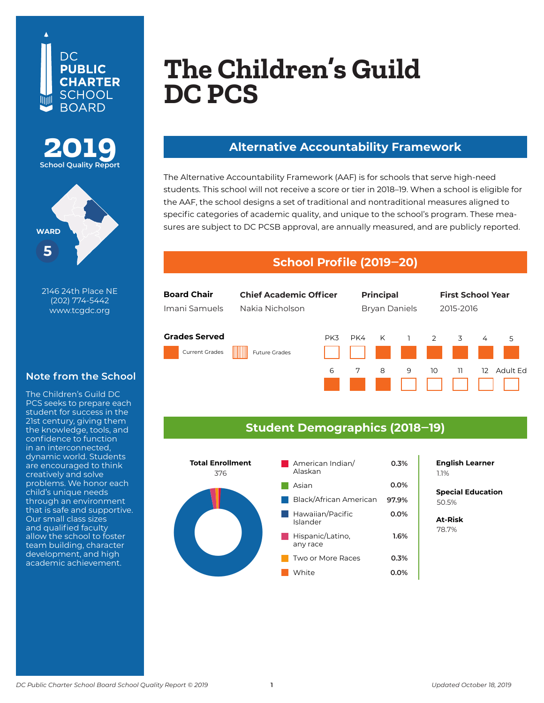





**500 19th Street NE** 2146 24th Place NE **Washington, DC 20002** (202) 774-5442 **202-545-3180** www.tcgdc.org

#### **Note from the School**

The Children's Guild DC PCS seeks to prepare each student for success in the 21st century, giving them the knowledge, tools, and confidence to function in an interconnected, dynamic world. Students are encouraged to think creatively and solve problems. We honor each child's unique needs through an environment that is safe and supportive. Our small class sizes and qualified faculty allow the school to foster team building, character development, and high academic achievement.

# **Monument Academy PCS (Middle School) The Children's Guild DC PCS**

#### **Alternative Accountability Framework**

The Alternative Accountability Framework (AAF) is for schools that serve high-need students. This school will not receive a score or tier in 2018–19. When a school is eligible for the AAF, the school designs a set of traditional and nontraditional measures aligned to specific categories of academic quality, and unique to the school's program. These measures are subject to DC PCSB approval, are annually measured, and are publicly reported.

#### **School Profile (2019‒20)**



### **Student Demographics (2018‒19)**



**0.0% English Learner** 1.1%

**Special Education** 50.5%

**At-Risk** 78.7%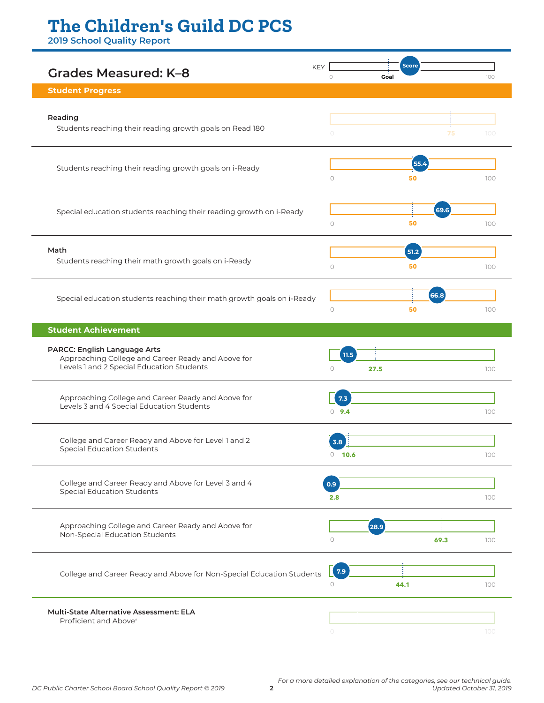## **The Children's Guild DC PCS**

**2019 School Quality Report**

| <b>KEY</b><br>Grades Measured: K-8                                                                                                     |            | <b>Score</b>              |      |      |      |     |
|----------------------------------------------------------------------------------------------------------------------------------------|------------|---------------------------|------|------|------|-----|
| <b>Student Progress</b>                                                                                                                | $\bigcirc$ |                           | Goal |      |      | 100 |
|                                                                                                                                        |            |                           |      |      |      |     |
| Reading<br>Students reaching their reading growth goals on Read 180                                                                    |            |                           |      |      |      |     |
|                                                                                                                                        |            | $\circ$                   |      |      | 75   | 100 |
| Students reaching their reading growth goals on i-Ready                                                                                |            |                           |      | 55.4 |      |     |
|                                                                                                                                        |            | $\circ$                   |      | 50   |      | 100 |
|                                                                                                                                        |            |                           |      |      |      |     |
| Special education students reaching their reading growth on i-Ready                                                                    |            |                           |      |      | 69.6 |     |
|                                                                                                                                        |            | $\bigcirc$                |      | 50   |      | 100 |
| Math<br>Students reaching their math growth goals on i-Ready                                                                           |            |                           |      | 51.2 |      |     |
|                                                                                                                                        |            | $\circ$                   |      | 50   |      | 100 |
|                                                                                                                                        |            |                           |      |      |      |     |
| Special education students reaching their math growth goals on i-Ready                                                                 |            |                           |      |      | 66.8 |     |
|                                                                                                                                        |            | $\bigcirc$                |      | 50   |      | 100 |
| <b>Student Achievement</b>                                                                                                             |            |                           |      |      |      |     |
| <b>PARCC: English Language Arts</b><br>Approaching College and Career Ready and Above for<br>Levels 1 and 2 Special Education Students |            |                           |      |      |      |     |
|                                                                                                                                        |            | 11.5<br>27.5<br>$\bigcap$ |      |      |      | 100 |
|                                                                                                                                        |            |                           |      |      |      |     |
| Approaching College and Career Ready and Above for<br>Levels 3 and 4 Special Education Students                                        |            | 7.3                       |      |      |      |     |
|                                                                                                                                        |            | $0$ 9.4                   |      |      |      | 100 |
|                                                                                                                                        |            |                           |      |      |      |     |
| College and Career Ready and Above for Level 1 and 2<br><b>Special Education Students</b>                                              |            | 3.8<br>$0 - 10.6$         |      |      |      | 100 |
|                                                                                                                                        |            |                           |      |      |      |     |
| College and Career Ready and Above for Level 3 and 4<br><b>Special Education Students</b>                                              | 0.9        |                           |      |      |      |     |
|                                                                                                                                        |            | 2.8                       |      |      |      | 100 |
| Approaching College and Career Ready and Above for<br>Non-Special Education Students                                                   |            |                           |      |      |      |     |
|                                                                                                                                        |            | $\circ$                   | 28.9 |      | 69.3 | 100 |
|                                                                                                                                        |            |                           |      |      |      |     |
|                                                                                                                                        |            |                           |      |      |      |     |
| College and Career Ready and Above for Non-Special Education Students                                                                  |            | $\sqrt{7.9}$              |      |      |      |     |
|                                                                                                                                        |            | $\circ$                   | 44.1 |      |      | 100 |
| Multi-State Alternative Assessment: ELA                                                                                                |            |                           |      |      |      |     |